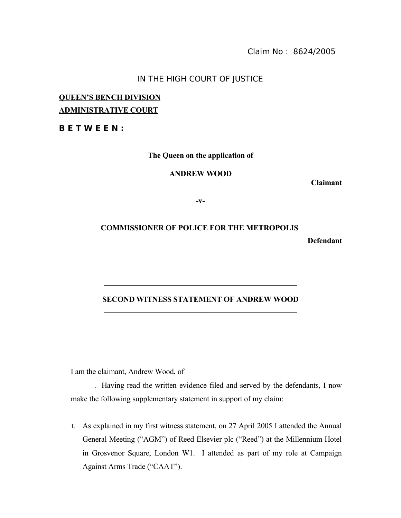Claim No : 8624/2005

### IN THE HIGH COURT OF JUSTICE

## **QUEEN'S BENCH DIVISION ADMINISTRATIVE COURT**

**B E T W E E N :**

**The Queen on the application of**

**ANDREW WOOD**

**Claimant**

**Defendant**

**-v-**

# **COMMISSIONER OF POLICE FOR THE METROPOLIS**

#### **SECOND WITNESS STATEMENT OF ANDREW WOOD**  $\mathcal{L} = \{ \mathcal{L} \}$

**\_\_\_\_\_\_\_\_\_\_\_\_\_\_\_\_\_\_\_\_\_\_\_\_\_\_\_\_\_\_\_\_\_\_\_\_\_\_\_\_\_\_\_\_\_\_\_\_\_\_**

I am the claimant, Andrew Wood, of

. Having read the written evidence filed and served by the defendants, I now make the following supplementary statement in support of my claim:

1. As explained in my first witness statement, on 27 April 2005 I attended the Annual General Meeting ("AGM") of Reed Elsevier plc ("Reed") at the Millennium Hotel in Grosvenor Square, London W1. I attended as part of my role at Campaign Against Arms Trade ("CAAT").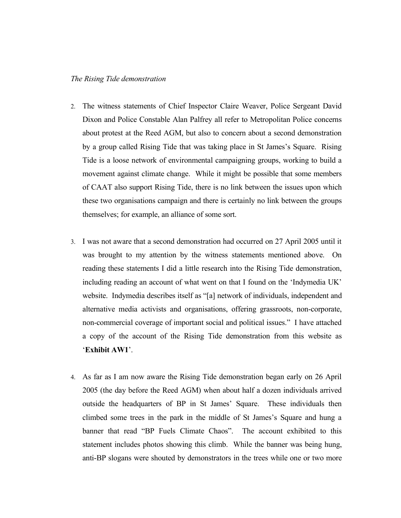#### *The Rising Tide demonstration*

- 2. The witness statements of Chief Inspector Claire Weaver, Police Sergeant David Dixon and Police Constable Alan Palfrey all refer to Metropolitan Police concerns about protest at the Reed AGM, but also to concern about a second demonstration by a group called Rising Tide that was taking place in St James's Square. Rising Tide is a loose network of environmental campaigning groups, working to build a movement against climate change. While it might be possible that some members of CAAT also support Rising Tide, there is no link between the issues upon which these two organisations campaign and there is certainly no link between the groups themselves; for example, an alliance of some sort.
- 3. I was not aware that a second demonstration had occurred on 27 April 2005 until it was brought to my attention by the witness statements mentioned above. On reading these statements I did a little research into the Rising Tide demonstration, including reading an account of what went on that I found on the 'Indymedia UK' website. Indymedia describes itself as "[a] network of individuals, independent and alternative media activists and organisations, offering grassroots, non-corporate, non-commercial coverage of important social and political issues." I have attached a copy of the account of the Rising Tide demonstration from this website as '**Exhibit AW1**'.
- 4. As far as I am now aware the Rising Tide demonstration began early on 26 April 2005 (the day before the Reed AGM) when about half a dozen individuals arrived outside the headquarters of BP in St James' Square. These individuals then climbed some trees in the park in the middle of St James's Square and hung a banner that read "BP Fuels Climate Chaos". The account exhibited to this statement includes photos showing this climb. While the banner was being hung, anti-BP slogans were shouted by demonstrators in the trees while one or two more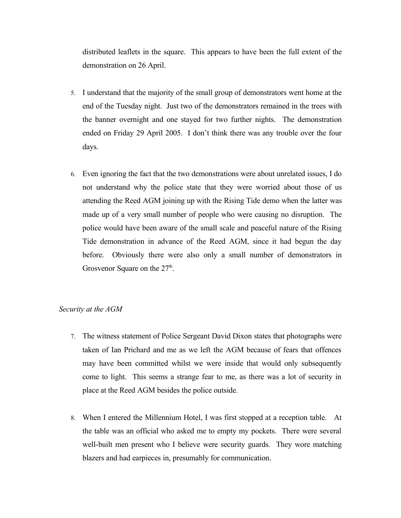distributed leaflets in the square. This appears to have been the full extent of the demonstration on 26 April.

- 5. I understand that the majority of the small group of demonstrators went home at the end of the Tuesday night. Just two of the demonstrators remained in the trees with the banner overnight and one stayed for two further nights. The demonstration ended on Friday 29 April 2005. I don't think there was any trouble over the four days.
- 6. Even ignoring the fact that the two demonstrations were about unrelated issues, I do not understand why the police state that they were worried about those of us attending the Reed AGM joining up with the Rising Tide demo when the latter was made up of a very small number of people who were causing no disruption. The police would have been aware of the small scale and peaceful nature of the Rising Tide demonstration in advance of the Reed AGM, since it had begun the day before. Obviously there were also only a small number of demonstrators in Grosvenor Square on the  $27<sup>th</sup>$ .

#### *Security at the AGM*

- 7. The witness statement of Police Sergeant David Dixon states that photographs were taken of Ian Prichard and me as we left the AGM because of fears that offences may have been committed whilst we were inside that would only subsequently come to light. This seems a strange fear to me, as there was a lot of security in place at the Reed AGM besides the police outside.
- 8. When I entered the Millennium Hotel, I was first stopped at a reception table. At the table was an official who asked me to empty my pockets. There were several well-built men present who I believe were security guards. They wore matching blazers and had earpieces in, presumably for communication.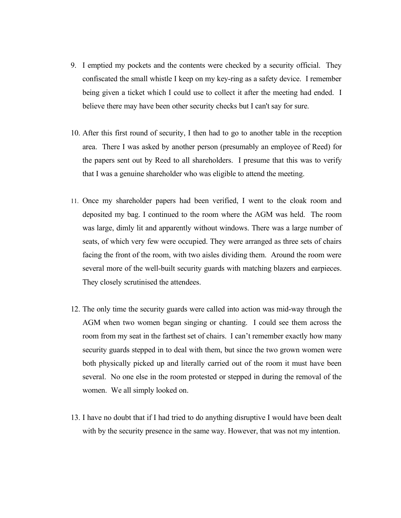- 9. I emptied my pockets and the contents were checked by a security official. They confiscated the small whistle I keep on my key-ring as a safety device. I remember being given a ticket which I could use to collect it after the meeting had ended. I believe there may have been other security checks but I can't say for sure.
- 10. After this first round of security, I then had to go to another table in the reception area. There I was asked by another person (presumably an employee of Reed) for the papers sent out by Reed to all shareholders. I presume that this was to verify that I was a genuine shareholder who was eligible to attend the meeting.
- 11. Once my shareholder papers had been verified, I went to the cloak room and deposited my bag. I continued to the room where the AGM was held. The room was large, dimly lit and apparently without windows. There was a large number of seats, of which very few were occupied. They were arranged as three sets of chairs facing the front of the room, with two aisles dividing them. Around the room were several more of the well-built security guards with matching blazers and earpieces. They closely scrutinised the attendees.
- 12. The only time the security guards were called into action was mid-way through the AGM when two women began singing or chanting. I could see them across the room from my seat in the farthest set of chairs. I can't remember exactly how many security guards stepped in to deal with them, but since the two grown women were both physically picked up and literally carried out of the room it must have been several. No one else in the room protested or stepped in during the removal of the women. We all simply looked on.
- 13. I have no doubt that if I had tried to do anything disruptive I would have been dealt with by the security presence in the same way. However, that was not my intention.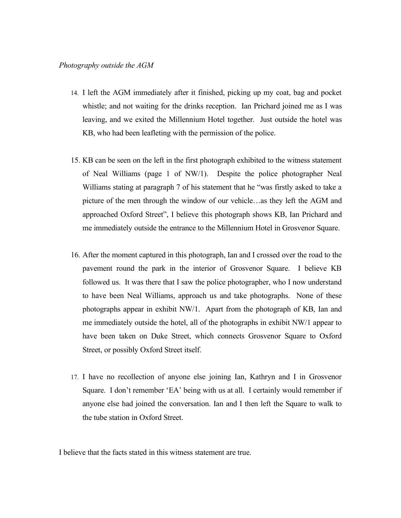- 14. I left the AGM immediately after it finished, picking up my coat, bag and pocket whistle; and not waiting for the drinks reception. Ian Prichard joined me as I was leaving, and we exited the Millennium Hotel together. Just outside the hotel was KB, who had been leafleting with the permission of the police.
- 15. KB can be seen on the left in the first photograph exhibited to the witness statement of Neal Williams (page 1 of NW/1). Despite the police photographer Neal Williams stating at paragraph 7 of his statement that he "was firstly asked to take a picture of the men through the window of our vehicle…as they left the AGM and approached Oxford Street", I believe this photograph shows KB, Ian Prichard and me immediately outside the entrance to the Millennium Hotel in Grosvenor Square.
- 16. After the moment captured in this photograph, Ian and I crossed over the road to the pavement round the park in the interior of Grosvenor Square. I believe KB followed us. It was there that I saw the police photographer, who I now understand to have been Neal Williams, approach us and take photographs. None of these photographs appear in exhibit NW/1. Apart from the photograph of KB, Ian and me immediately outside the hotel, all of the photographs in exhibit NW/1 appear to have been taken on Duke Street, which connects Grosvenor Square to Oxford Street, or possibly Oxford Street itself.
- 17. I have no recollection of anyone else joining Ian, Kathryn and I in Grosvenor Square. I don't remember 'EA' being with us at all. I certainly would remember if anyone else had joined the conversation. Ian and I then left the Square to walk to the tube station in Oxford Street.

I believe that the facts stated in this witness statement are true.